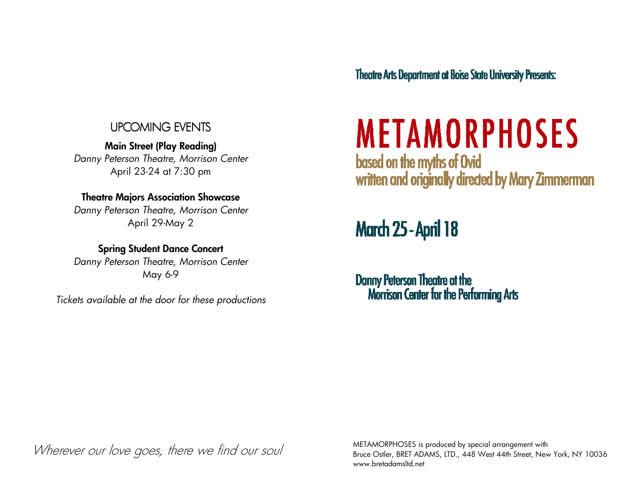#### UPCOMING EVENTS UPCOMING EVENTS

Main Street (Play Reading) Danny Peterson Theatre, Morrison Center April 23-24 at 7:30 pm

#### Theatre Majors Association Showcase

 Danny Peterson Theatre, Morrison Center April 29-May 2

Spring Student Dance Concert Danny Peterson Theatre, Morrison Center May 6-9

Tickets available at the door for these productions

**Theatre Arts Department at Boise State University Presents:** 

## **METAMORPHOSES**

based on the myths of Ovid written and originally directed by Mary Zimmerman

### **March 25 - April 18**

**Danny Peterson Theatre at the<br>Morrison Center for the Performing Arts** 

Wherever our love goes, there we find our soul

METAMORPHOSES is produced by special arrangement with Bruce Ostler, BRET ADAMS, LTD., 448 West 44th Street, New York, NY 10036 www.bretadamsltd.net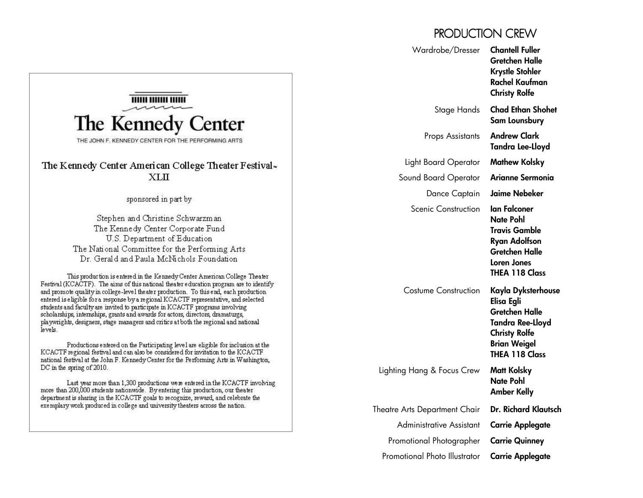#### PRODUCTION CREW

|                                                                                                                                                                                                                                                                                                                                                                                                                                                                                                                                                                                                                                                                                                                                                                                                                                                                                                                                                                                                                                                                                                                                                                                                                                                                                                                                                                                                                                                                                                     | Wardrobe/Dresser                                          | <b>Chantell Fuller</b><br>Gretchen Halle<br><b>Krystle Stohler</b><br>Rachel Kaufman<br><b>Christy Rolfe</b>                                                                                                                                                                                                      |
|-----------------------------------------------------------------------------------------------------------------------------------------------------------------------------------------------------------------------------------------------------------------------------------------------------------------------------------------------------------------------------------------------------------------------------------------------------------------------------------------------------------------------------------------------------------------------------------------------------------------------------------------------------------------------------------------------------------------------------------------------------------------------------------------------------------------------------------------------------------------------------------------------------------------------------------------------------------------------------------------------------------------------------------------------------------------------------------------------------------------------------------------------------------------------------------------------------------------------------------------------------------------------------------------------------------------------------------------------------------------------------------------------------------------------------------------------------------------------------------------------------|-----------------------------------------------------------|-------------------------------------------------------------------------------------------------------------------------------------------------------------------------------------------------------------------------------------------------------------------------------------------------------------------|
| The Kennedy Center<br>THE JOHN F. KENNEDY CENTER FOR THE PERFORMING ARTS                                                                                                                                                                                                                                                                                                                                                                                                                                                                                                                                                                                                                                                                                                                                                                                                                                                                                                                                                                                                                                                                                                                                                                                                                                                                                                                                                                                                                            | Stage Hands                                               | <b>Chad Ethan Shohet</b><br>Sam Lounsbury                                                                                                                                                                                                                                                                         |
|                                                                                                                                                                                                                                                                                                                                                                                                                                                                                                                                                                                                                                                                                                                                                                                                                                                                                                                                                                                                                                                                                                                                                                                                                                                                                                                                                                                                                                                                                                     | Props Assistants                                          | <b>Andrew Clark</b><br>Tandra Lee-Lloyd                                                                                                                                                                                                                                                                           |
| The Kennedy Center American College Theater Festival-                                                                                                                                                                                                                                                                                                                                                                                                                                                                                                                                                                                                                                                                                                                                                                                                                                                                                                                                                                                                                                                                                                                                                                                                                                                                                                                                                                                                                                               | Light Board Operator                                      | <b>Mathew Kolsky</b>                                                                                                                                                                                                                                                                                              |
| XLII                                                                                                                                                                                                                                                                                                                                                                                                                                                                                                                                                                                                                                                                                                                                                                                                                                                                                                                                                                                                                                                                                                                                                                                                                                                                                                                                                                                                                                                                                                | Sound Board Operator                                      | Arianne Sermonia                                                                                                                                                                                                                                                                                                  |
| sponsored in part by<br>Stephen and Christine Schwarzman<br>The Kennedy Center Corporate Fund<br>U.S. Department of Education<br>The National Committee for the Performing Arts<br>Dr. Gerald and Paula McNichols Foundation<br>This production is entered in the Kennedy Center American College Theater<br>Festival (KCACTF). The aims of this national theater education program are to identify<br>and promote quality in college-level the ater production. To this end, each production<br>entered is eligible for a response by a regional KCACTF representative, and selected<br>students and faculty are invited to participate in KCACTF programs involving<br>scholarships, internships, grants and awards for actors, directors, dramaturgs,<br>playwrights, designers, stage managers and critics at both the regional and national<br>levels.<br>Productions entered on the Participating level are eligible for inclusion at the<br>KCACTF regional festival and can also be considered for invitation to the KCACTF<br>national festival at the John F. Kennedy Center for the Performing Arts in Washington,<br>$DC$ in the spring of 2010.<br>Last year more than 1,300 productions were entered in the KCACTF involving<br>more than 200,000 students nationwide. By entering this production, our theater<br>department is sharing in the KCACTF goals to recognize, reward, and celebrate the<br>exemplary work produced in college and university theaters across the nation. | Dance Captain                                             | <b>Jaime Nebeker</b>                                                                                                                                                                                                                                                                                              |
|                                                                                                                                                                                                                                                                                                                                                                                                                                                                                                                                                                                                                                                                                                                                                                                                                                                                                                                                                                                                                                                                                                                                                                                                                                                                                                                                                                                                                                                                                                     | <b>Scenic Construction</b><br><b>Costume Construction</b> | lan Falconer<br><b>Nate Pohl</b><br><b>Travis Gamble</b><br><b>Ryan Adolfson</b><br><b>Gretchen Halle</b><br>Loren Jones<br><b>THEA 118 Class</b><br>Kayla Dyksterhouse<br>Elisa Egli<br><b>Gretchen Halle</b><br><b>Tandra Ree-Lloyd</b><br><b>Christy Rolfe</b><br><b>Brian Weigel</b><br><b>THEA 118 Class</b> |
|                                                                                                                                                                                                                                                                                                                                                                                                                                                                                                                                                                                                                                                                                                                                                                                                                                                                                                                                                                                                                                                                                                                                                                                                                                                                                                                                                                                                                                                                                                     | Lighting Hang & Focus Crew                                | <b>Matt Kolsky</b><br><b>Nate Pohl</b><br><b>Amber Kelly</b>                                                                                                                                                                                                                                                      |
|                                                                                                                                                                                                                                                                                                                                                                                                                                                                                                                                                                                                                                                                                                                                                                                                                                                                                                                                                                                                                                                                                                                                                                                                                                                                                                                                                                                                                                                                                                     | Theatre Arts Department Chair                             | Dr. Richard Klautsch                                                                                                                                                                                                                                                                                              |
|                                                                                                                                                                                                                                                                                                                                                                                                                                                                                                                                                                                                                                                                                                                                                                                                                                                                                                                                                                                                                                                                                                                                                                                                                                                                                                                                                                                                                                                                                                     | <b>Administrative Assistant</b>                           | <b>Carrie Applegate</b>                                                                                                                                                                                                                                                                                           |
|                                                                                                                                                                                                                                                                                                                                                                                                                                                                                                                                                                                                                                                                                                                                                                                                                                                                                                                                                                                                                                                                                                                                                                                                                                                                                                                                                                                                                                                                                                     | Promotional Photographer                                  | <b>Carrie Quinney</b>                                                                                                                                                                                                                                                                                             |
|                                                                                                                                                                                                                                                                                                                                                                                                                                                                                                                                                                                                                                                                                                                                                                                                                                                                                                                                                                                                                                                                                                                                                                                                                                                                                                                                                                                                                                                                                                     | Promotional Photo Illustrator                             | <b>Carrie Applegate</b>                                                                                                                                                                                                                                                                                           |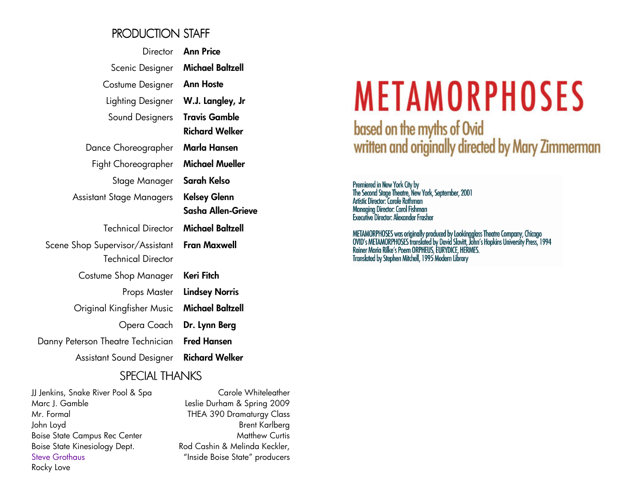#### PRODUCTION STAFF

| <b>Ann Price</b>        |
|-------------------------|
| <b>Michael Baltzell</b> |
| <b>Ann Hoste</b>        |
| W.J. Langley, Jr        |
| <b>Travis Gamble</b>    |
| <b>Richard Welker</b>   |
| Marla Hansen            |
| <b>Michael Mueller</b>  |
| Sarah Kelso             |
| <b>Kelsey Glenn</b>     |
| Sasha Allen-Grieve      |
| Michael Baltzell        |
| <b>Fran Maxwell</b>     |
|                         |
| Keri Fitch              |
| <b>Lindsey Norris</b>   |
| Michael Baltzell        |
| Dr. Lynn Berg           |
| <b>Fred Hansen</b>      |
| <b>Richard Welker</b>   |
|                         |

#### SPECIAL THANKS

JJ Jenkins, Snake River Pool & Spa Marc J. Gamble Mr. Formal John Loyd Boise State Campus Rec Center Boise State Kinesiology Dept. Steve Grothaus Rocky Love

Carole Whiteleather Leslie Durham & Spring 2009 THEA 390 Dramaturgy Class Brent Karlberg Matthew Curtis Rod Cashin & Melinda Keckler, "Inside Boise State" producers

# **METAMORPHOSES**

based on the myths of Ovid written and originally directed by Mary Zimmerman

Premiered in New York City by<br>The Second Stage Theatre, New York, September, 2001<br>Artistic Director: Carole Rothman **Managing Director: Carol Fishman Executive Director: Alexander Frasher** 

METAMORPHOSES was originally produced by Lookingglass Theatre Company, Chicago<br>OVID's METAMORPHOSES translated by David Slavitt, John's Hopkins University Press, 1994<br>Rainer Maria Rilke's Poem ORPHEUS, EURYDICE, HERMES.<br>Tr